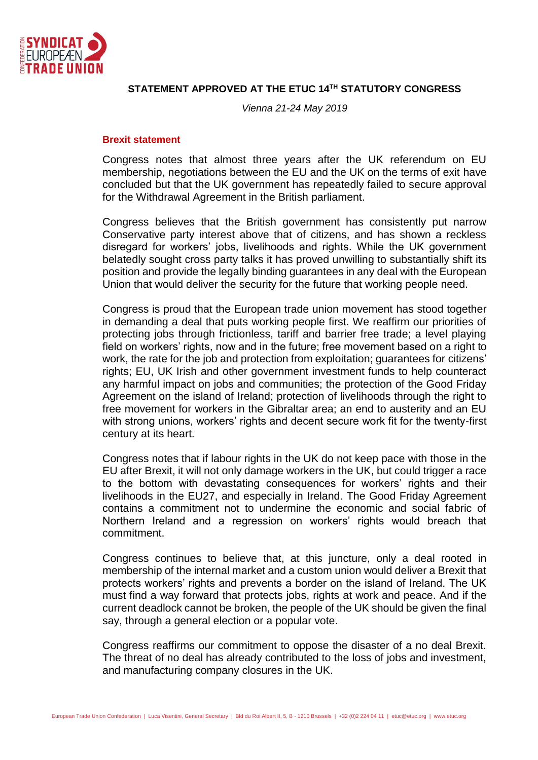

## **STATEMENT APPROVED AT THE ETUC 14TH STATUTORY CONGRESS**

*Vienna 21-24 May 2019*

## **Brexit statement**

Congress notes that almost three years after the UK referendum on EU membership, negotiations between the EU and the UK on the terms of exit have concluded but that the UK government has repeatedly failed to secure approval for the Withdrawal Agreement in the British parliament.

Congress believes that the British government has consistently put narrow Conservative party interest above that of citizens, and has shown a reckless disregard for workers' jobs, livelihoods and rights. While the UK government belatedly sought cross party talks it has proved unwilling to substantially shift its position and provide the legally binding guarantees in any deal with the European Union that would deliver the security for the future that working people need.

Congress is proud that the European trade union movement has stood together in demanding a deal that puts working people first. We reaffirm our priorities of protecting jobs through frictionless, tariff and barrier free trade; a level playing field on workers' rights, now and in the future; free movement based on a right to work, the rate for the job and protection from exploitation; guarantees for citizens' rights; EU, UK Irish and other government investment funds to help counteract any harmful impact on jobs and communities; the protection of the Good Friday Agreement on the island of Ireland; protection of livelihoods through the right to free movement for workers in the Gibraltar area; an end to austerity and an EU with strong unions, workers' rights and decent secure work fit for the twenty-first century at its heart.

Congress notes that if labour rights in the UK do not keep pace with those in the EU after Brexit, it will not only damage workers in the UK, but could trigger a race to the bottom with devastating consequences for workers' rights and their livelihoods in the EU27, and especially in Ireland. The Good Friday Agreement contains a commitment not to undermine the economic and social fabric of Northern Ireland and a regression on workers' rights would breach that commitment.

Congress continues to believe that, at this juncture, only a deal rooted in membership of the internal market and a custom union would deliver a Brexit that protects workers' rights and prevents a border on the island of Ireland. The UK must find a way forward that protects jobs, rights at work and peace. And if the current deadlock cannot be broken, the people of the UK should be given the final say, through a general election or a popular vote.

Congress reaffirms our commitment to oppose the disaster of a no deal Brexit. The threat of no deal has already contributed to the loss of jobs and investment, and manufacturing company closures in the UK.